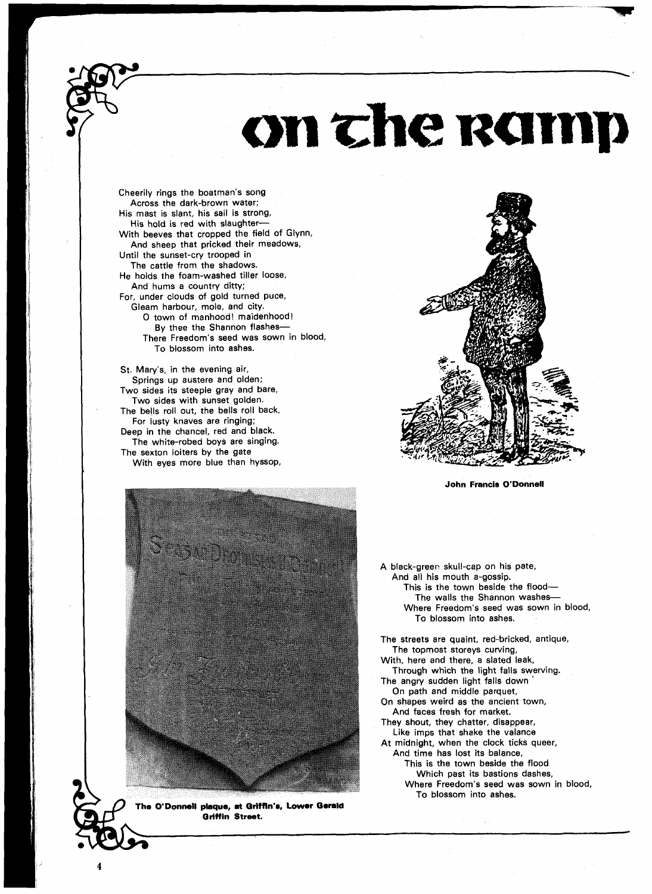## on the ramp

Cheerily rings the boatman's song Across the dark-brown water; His mast is slant, his sail is strong, His hold is red with slaughter-With beeves that cropped the field of Glynn, And sheep that pricked their meadows, Until the sunset-cry trooped in The cattle from the shadows. He holds the foam-washed tiller loose, And hums a country ditty; For, under clouds of gold turned puce, Gleam harbour, mole, and city. 0 town of manhood! maidenhood! By thee the Shannon flashes-There Freedom's seed was sown in blood, To blossom into ashes.

St. Mary's, in the evening air, Springs up austere and olden; Two sides its steeple gray and bare, Two sides with sunset golden. The bells roll out, the bells roll back, For lusty knaves are ringing; Deep in the chancel, red and black. The white-robed boys are singing. The sexton loiters by the gate With eyes more blue than hyssop,



**John Francis O'Donnell** 



**The O'Donmll pbque, mt OrHtln'a, Lower Oemla Oriffin Street.** 

A black-green skull-cap on his pate, And all his mouth a-gossip. This is the town beside the flood-The walls the Shannon washes-Where Freedom's seed was sown in blood, To blossom into ashes.

The streets are quaint, red-bricked, antique, The topmost storeys curving,

With, here and there, a slated leak, Through which the light falls swerving.

The angry sudden light falls down On path and middle parquet,

On shapes weird as the ancient town, And faces fresh for market.

They shout, they chatter, disappear, Like imps that shake the valance At midnight, when the clock ticks queer,

And time has lost its balance,

This is the town beside the flood

Which past its bastions dashes, Where Freedom's seed was sown in blood,

To blossom into ashes.